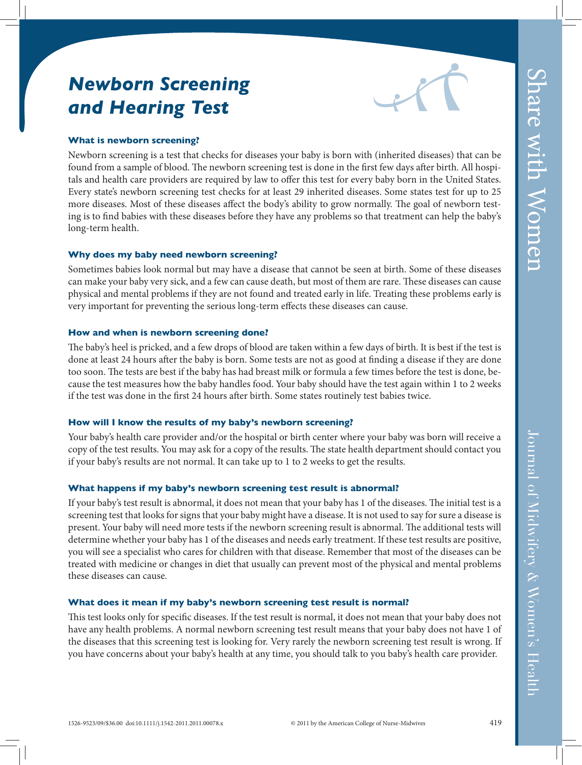# *Newborn Screening and Hearing Test*



## **What is newborn screening?**

Newborn screening is a test that checks for diseases your baby is born with (inherited diseases) that can be found from a sample of blood. The newborn screening test is done in the first few days after birth. All hospitals and health care providers are required by law to offer this test for every baby born in the United States. Every state's newborn screening test checks for at least 29 inherited diseases. Some states test for up to 25 more diseases. Most of these diseases affect the body's ability to grow normally. The goal of newborn testing is to find babies with these diseases before they have any problems so that treatment can help the baby's long-term health.

## **Why does my baby need newborn screening?**

Sometimes babies look normal but may have a disease that cannot be seen at birth. Some of these diseases can make your baby very sick, and a few can cause death, but most of them are rare. These diseases can cause physical and mental problems if they are not found and treated early in life. Treating these problems early is very important for preventing the serious long-term effects these diseases can cause.

### **How and when is newborn screening done?**

The baby's heel is pricked, and a few drops of blood are taken within a few days of birth. It is best if the test is done at least 24 hours after the baby is born. Some tests are not as good at finding a disease if they are done too soon. The tests are best if the baby has had breast milk or formula a few times before the test is done, because the test measures how the baby handles food. Your baby should have the test again within 1 to 2 weeks if the test was done in the first 24 hours after birth. Some states routinely test babies twice.

#### **How will I know the results of my baby's newborn screening?**

Your baby's health care provider and/or the hospital or birth center where your baby was born will receive a copy of the test results. You may ask for a copy of the results. The state health department should contact you if your baby's results are not normal. It can take up to 1 to 2 weeks to get the results.

## **What happens if my baby's newborn screening test result is abnormal?**

If your baby's test result is abnormal, it does not mean that your baby has 1 of the diseases. The initial test is a screening test that looks for signs that your baby might have a disease. It is not used to say for sure a disease is present. Your baby will need more tests if the newborn screening result is abnormal. The additional tests will determine whether your baby has 1 of the diseases and needs early treatment. If these test results are positive, you will see a specialist who cares for children with that disease. Remember that most of the diseases can be treated with medicine or changes in diet that usually can prevent most of the physical and mental problems these diseases can cause.

## **What does it mean if my baby's newborn screening test result is normal?**

This test looks only for specific diseases. If the test result is normal, it does not mean that your baby does not have any health problems. A normal newborn screening test result means that your baby does not have 1 of the diseases that this screening test is looking for. Very rarely the newborn screening test result is wrong. If you have concerns about your baby's health at any time, you should talk to you baby's health care provider.